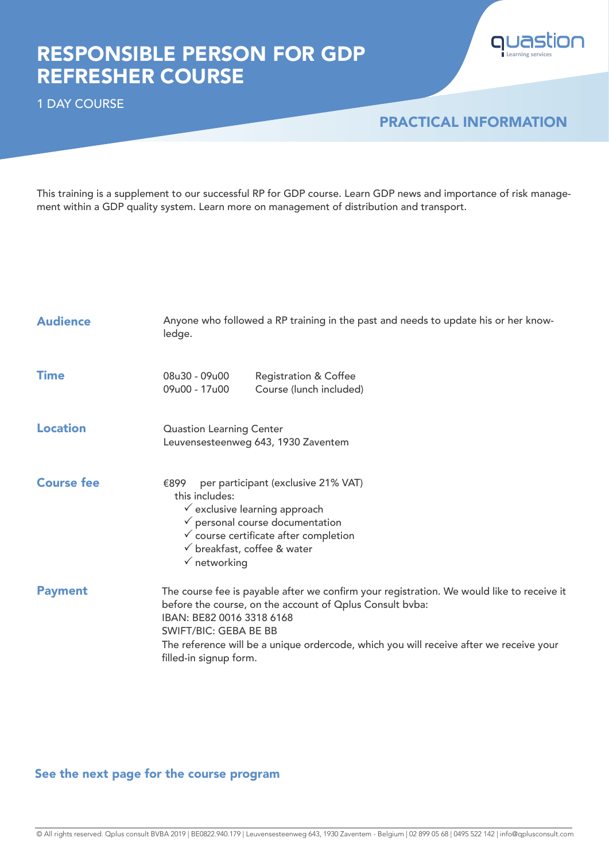## RESPONSIBLE PERSON FOR GDP REFRESHER COURSE

1 DAY COURSE

### PRACTICAL INFORMATION

**Learning services**

quastion

This training is a supplement to our successful RP for GDP course. Learn GDP news and importance of risk management within a GDP quality system. Learn more on management of distribution and transport.

| <b>Audience</b>   | Anyone who followed a RP training in the past and needs to update his or her know-<br>ledge.                                                                                                                                                                                                                                           |  |  |
|-------------------|----------------------------------------------------------------------------------------------------------------------------------------------------------------------------------------------------------------------------------------------------------------------------------------------------------------------------------------|--|--|
| <b>Time</b>       | 08u30 - 09u00<br><b>Registration &amp; Coffee</b><br>09u00 - 17u00<br>Course (lunch included)                                                                                                                                                                                                                                          |  |  |
| <b>Location</b>   | <b>Quastion Learning Center</b><br>Leuvensesteenweg 643, 1930 Zaventem                                                                                                                                                                                                                                                                 |  |  |
| <b>Course fee</b> | per participant (exclusive 21% VAT)<br>€899<br>this includes:<br>$\checkmark$ exclusive learning approach<br>$\checkmark$ personal course documentation<br>$\checkmark$ course certificate after completion<br>$\checkmark$ breakfast, coffee & water<br>$\checkmark$ networking                                                       |  |  |
| <b>Payment</b>    | The course fee is payable after we confirm your registration. We would like to receive it<br>before the course, on the account of Oplus Consult bvba:<br>IBAN: BE82 0016 3318 6168<br><b>SWIFT/BIC: GEBA BE BB</b><br>The reference will be a unique ordercode, which you will receive after we receive your<br>filled-in signup form. |  |  |

### See the next page for the course program

© All rights reserved. Qplus consult BVBA 2019 | BE0822.940.179 | Leuvensesteenweg 643, 1930 Zaventem - Belgium | 02 899 05 68 | 0495 522 142 | info@qplusconsult.com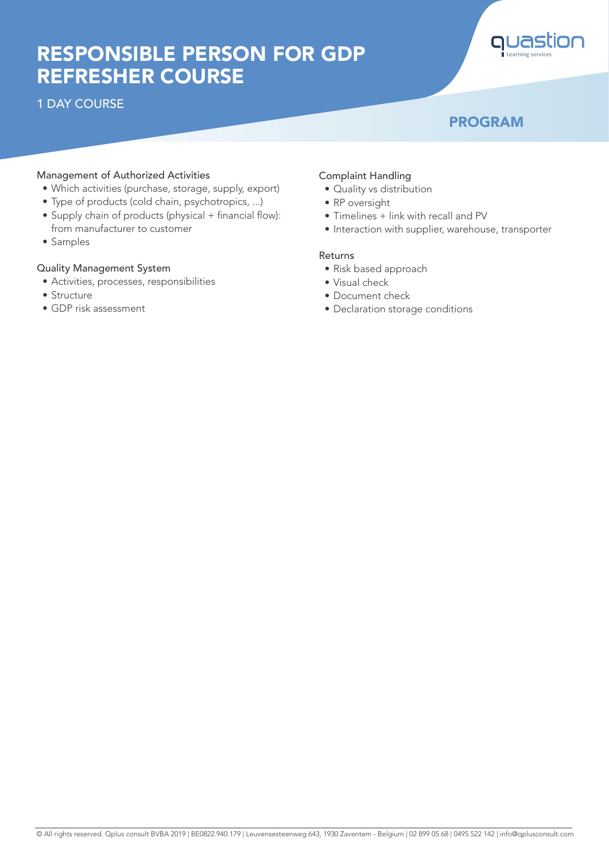# RESPONSIBLE PERSON FOR GDP REFRESHER COURSE

1 DAY COURSE



### PROGRAM

#### Management of Authorized Activities

- Which activities (purchase, storage, supply, export)
- Type of products (cold chain, psychotropics, ...)
- Supply chain of products (physical + financial flow): from manufacturer to customer
- Samples

#### Quality Management System

- Activities, processes, responsibilities
- Structure
- GDP risk assessment

#### Complaint Handling

- Quality vs distribution
- RP oversight
- Timelines + link with recall and PV
- Interaction with supplier, warehouse, transporter

#### Returns

- Risk based approach
- Visual check
- Document check
- Declaration storage conditions